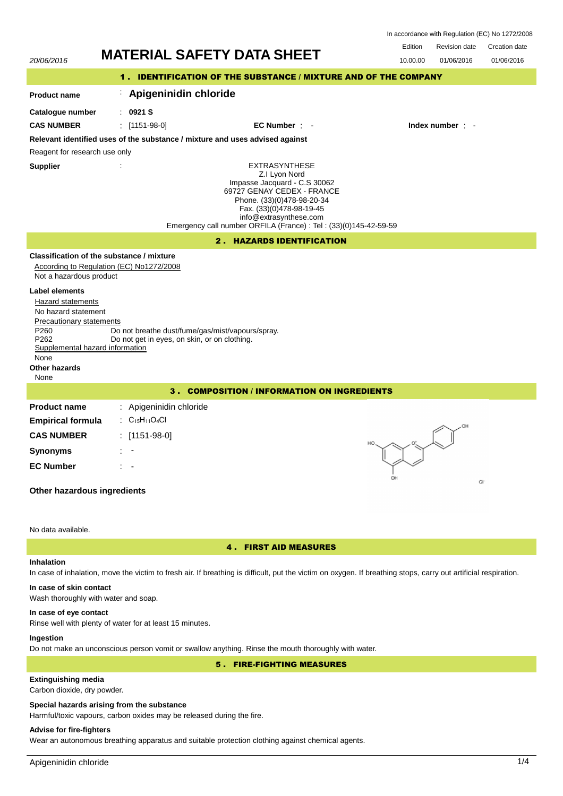| In accordance with Regulation (EC) No 1272/2008 |  |  |  |
|-------------------------------------------------|--|--|--|
|-------------------------------------------------|--|--|--|

Edition Revision date Creation date 20/06/2016 **MATERIAL SAFETY DATA SHEET** 10.00.00 01/06/2016 01/06/2016 1 . IDENTIFICATION OF THE SUBSTANCE / MIXTURE AND OF THE COMPANY : **Apigeninidin chloride Product name Catalogue number** : **0921 S CAS NUMBER** : [1151-98-0] **EC Number** : - **Index number** : - **Relevant identified uses of the substance / mixture and uses advised against** Reagent for research use only **Supplier** : EXTRASYNTHESE Z.I Lyon Nord Impasse Jacquard - C.S 30062 69727 GENAY CEDEX - FRANCE Phone. (33)(0)478-98-20-34 Fax. (33)(0)478-98-19-45 info@extrasynthese.com Emergency call number ORFILA (France) : Tel : (33)(0)145-42-59-59 2 . HAZARDS IDENTIFICATION **Classification of the substance / mixture** According to Regulation (EC) No1272/2008 Not a hazardous product **Label elements** Hazard statements No hazard statement Precautionary statements P260 Do not breathe dust/fume/gas/mist/vapours/spray.<br>P262 Do not get in eves, on skin, or on clothing. Do not get in eyes, on skin, or on clothing. Supplemental hazard information None **Other hazards** None 3 . COMPOSITION / INFORMATION ON INGREDIENTS **Product name** : Apigeninidin chloride **Empirical formula** :  $C_{15}H_{11}O_4Cl$ **CAS NUMBER** : [1151-98-0] **Synonyms** : - **EC Number** : c. **Other hazardous ingredients**

### No data available.

# 4 . FIRST AID MEASURES

# **Inhalation**

In case of inhalation, move the victim to fresh air. If breathing is difficult, put the victim on oxygen. If breathing stops, carry out artificial respiration.

# **In case of skin contact**

Wash thoroughly with water and soap.

### **In case of eye contact**

Rinse well with plenty of water for at least 15 minutes.

# **Ingestion**

Do not make an unconscious person vomit or swallow anything. Rinse the mouth thoroughly with water.

# 5 . FIRE-FIGHTING MEASURES

# **Extinguishing media**

Carbon dioxide, dry powder.

### **Special hazards arising from the substance**

Harmful/toxic vapours, carbon oxides may be released during the fire.

# **Advise for fire-fighters**

Wear an autonomous breathing apparatus and suitable protection clothing against chemical agents.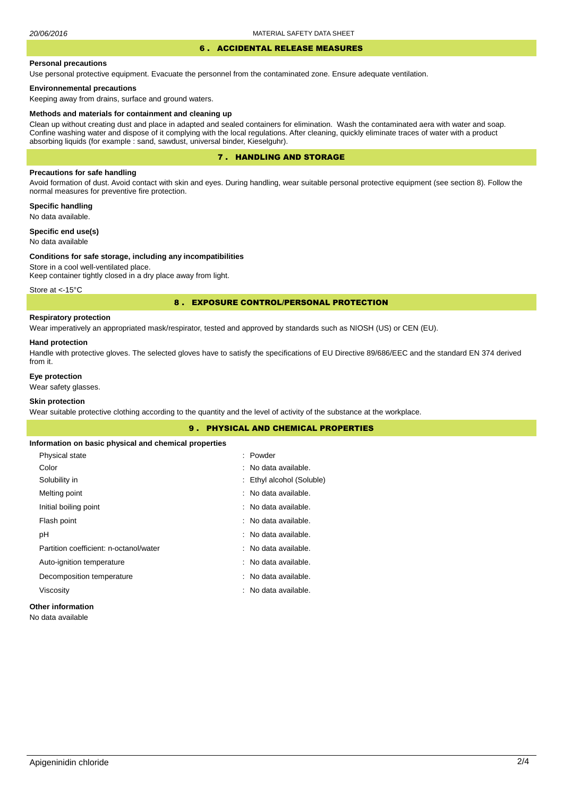# 6 . ACCIDENTAL RELEASE MEASURES

### **Personal precautions**

Use personal protective equipment. Evacuate the personnel from the contaminated zone. Ensure adequate ventilation.

## **Environnemental precautions**

Keeping away from drains, surface and ground waters.

#### **Methods and materials for containment and cleaning up**

Clean up without creating dust and place in adapted and sealed containers for elimination. Wash the contaminated aera with water and soap. Confine washing water and dispose of it complying with the local regulations. After cleaning, quickly eliminate traces of water with a product absorbing liquids (for example : sand, sawdust, universal binder, Kieselguhr).

# 7 . HANDLING AND STORAGE

## **Precautions for safe handling**

Avoid formation of dust. Avoid contact with skin and eyes. During handling, wear suitable personal protective equipment (see section 8). Follow the normal measures for preventive fire protection.

**Specific handling** No data available.

**Specific end use(s)**

# No data available

## **Conditions for safe storage, including any incompatibilities**

Store in a cool well-ventilated place. Keep container tightly closed in a dry place away from light.

Store at <- 15°C

## 8 . EXPOSURE CONTROL/PERSONAL PROTECTION

# **Respiratory protection**

Wear imperatively an appropriated mask/respirator, tested and approved by standards such as NIOSH (US) or CEN (EU).

#### **Hand protection**

Handle with protective gloves. The selected gloves have to satisfy the specifications of EU Directive 89/686/EEC and the standard EN 374 derived from it.

# **Eye protection**

Wear safety glasses.

# **Skin protection**

Wear suitable protective clothing according to the quantity and the level of activity of the substance at the workplace.

|                                                       | <b>9. PHYSICAL AND CHEMICAL PROPERTIES</b> |
|-------------------------------------------------------|--------------------------------------------|
| Information on basic physical and chemical properties |                                            |
| Physical state                                        | : Powder                                   |
| Color                                                 | : No data available.                       |
| Solubility in                                         | : Ethyl alcohol (Soluble)                  |
| Melting point                                         | : No data available.                       |
| Initial boiling point                                 | : No data available.                       |
| Flash point                                           | : No data available.                       |
| рH                                                    | : No data available.                       |
| Partition coefficient: n-octanol/water                | : No data available.                       |
| Auto-ignition temperature                             | : No data available.                       |
| Decomposition temperature                             | : No data available.                       |
| Viscosity                                             | : No data available.                       |
| <b>Other information</b>                              |                                            |

No data available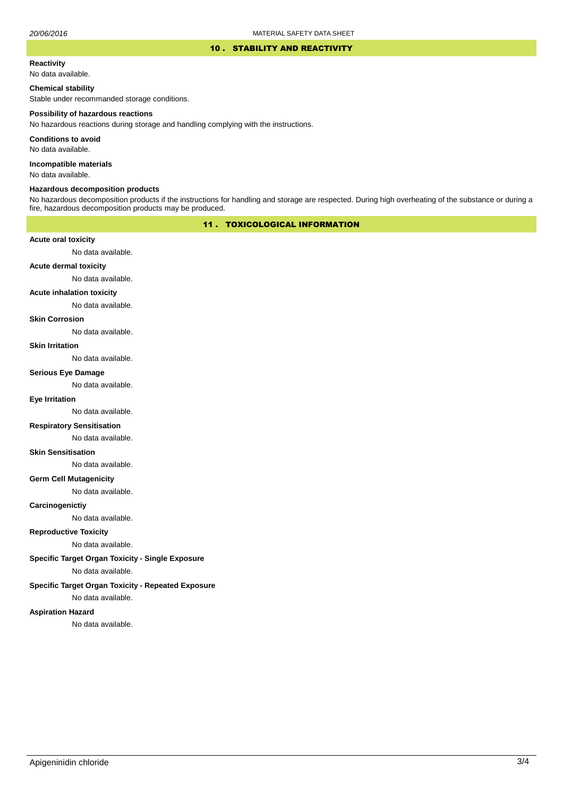### 10 . STABILITY AND REACTIVITY

### **Reactivity**

No data available.

## **Chemical stability**

Stable under recommanded storage conditions.

### **Possibility of hazardous reactions**

No hazardous reactions during storage and handling complying with the instructions.

**Conditions to avoid**

No data available.

**Incompatible materials**

No data available.

### **Hazardous decomposition products**

No hazardous decomposition products if the instructions for handling and storage are respected. During high overheating of the substance or during a fire, hazardous decomposition products may be produced.

# 11 . TOXICOLOGICAL INFORMATION

## **Acute oral toxicity**

No data available.

# **Acute dermal toxicity**

No data available.

## **Acute inhalation toxicity**

No data available.

# **Skin Corrosion**

No data available.

#### **Skin Irritation**

No data available.

### **Serious Eye Damage**

No data available.

# **Eye Irritation**

No data available.

## **Respiratory Sensitisation**

No data available.

### **Skin Sensitisation**

No data available.

## **Germ Cell Mutagenicity**

No data available.

## **Carcinogenictiy**

No data available.

# **Reproductive Toxicity**

No data available.

# **Specific Target Organ Toxicity - Single Exposure**

No data available.

# **Specific Target Organ Toxicity - Repeated Exposure**

No data available.

### **Aspiration Hazard**

No data available.